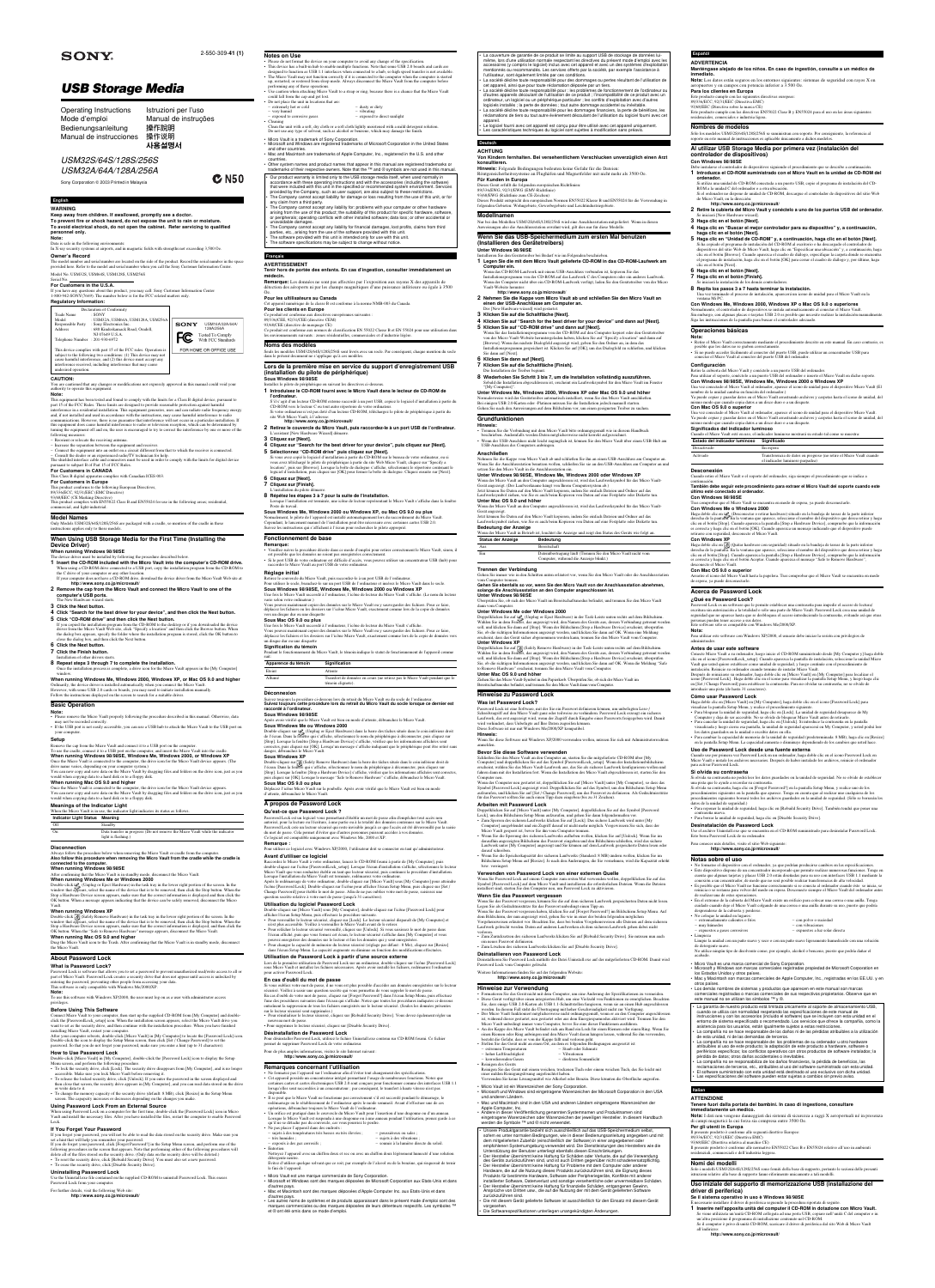# USM32S/64S/128S/256S USM32A/64A/128A/256A

Sony Corporation @ 2003 Printed in Malaysia

# **SONY**

### 2-550-309-**41 (1)**

 $C$  N50

# **USB Storage Media**

## **English WARNING**

**Keep away from children. If swallowed, promptly see a doctor. To prevent fire or shock hazard, do not expose the unit to rain or moisture. To avoid electrical shock, do not open the cabinet. Refer servicing to qualified personnel only. Note:**

Data is safe in the following environments: In X-ray security systems at airports, and in magnetic fields with strengths not exceeding 3,500 Oe.

## **Owner's Record**

The model number and serial number are located on the side of the product. Record the serial number in the space provided here. Refer to the model and serial number when you call the Sony Customer Information Center.

You are cautioned that any changes or modifications not expressly approved in this manual could void your authority to operate this equipment

### Model No. USM32S, USM64S, USM128S, USM256S

### Serial No. \_\_\_\_\_\_\_\_\_\_\_\_\_\_\_\_\_\_\_\_\_\_\_\_\_\_\_\_\_\_ **For Customers in the U.S.A.**

If you have any questions about this product, you may call: Sony Customer Information Center 1-800-942-SONY(7669). The number below is for the FCC related matters only. **Regulatory Information:**

|                                 | Declaration of Conformity                                                                                                          |             |                        |
|---------------------------------|------------------------------------------------------------------------------------------------------------------------------------|-------------|------------------------|
| Trade Name                      | $:$ SONY                                                                                                                           |             |                        |
| Model                           | : USM32A, USM64A, USM128A, USM256A                                                                                                 |             |                        |
| <b>Responsible Party</b>        | : Sony Electronics Inc.                                                                                                            | <b>SONY</b> | USM16A/32A/64A/        |
| Address                         | : 680 Kinderkamack Road, Oradell,                                                                                                  |             | 128A/256A              |
|                                 | NJ 07649 U.S.A.                                                                                                                    |             | Tested To Comply       |
| Telephone Number : 201-930-6972 |                                                                                                                                    |             | With FCC Standards     |
|                                 | This device complies with part 15 of the FCC rules. Operation is                                                                   |             | FOR HOME OR OFFICE USE |
|                                 | subject to the following two conditions: (1) This device may not<br>cause harmful interference and (2) this device must accent any |             |                        |

cause harmful interference, and (2) this device must accept any interference received, including interference that may cause undesired operation.

93/68/EEC (CE Marking Directive) This product complies with EN55022 Class B and EN55024 for use in the following areas; residential,

commercial, and light-industrial.

### **CAUTION:**

Only Models USM32S/64S/128S/256S are packaged with a cradle, so mention of the cradle in these structions applies only to these mode

## **Note:**

### **When running Windows 98/98SE** The device driver must be installed by following the procedure described below.

- **1 Insert the CD-ROM included with the Micro Vault into the computer's CD-ROM drive.** When using a CD-ROM drive connected to a USB port, copy the installation program f
- the C drive of your computer or any other location. If your computer does not have a CD-ROM drive, download the device driver from the Micro Vault Web site at: **http://www.sony.co.jp/microvault/ 2 Remove the cap from the Micro Vault and connect the Micro Vault to one of the**
- **computer's USB ports.** The New Hardware wizard starts.
- **3 Click the Next button.**
- 
- **4 Click "Search for the best driver for your device", and then click the Next button. 5 Click "CD-ROM drive" and then click the Next button.**
- If you copied the installation program from the CD-ROM to the desktop or if you downloaded the device<br>driver from the Micro Vault Web site, click "Specify a location" and then click the Browse button. When<br>the dialog box a

This equipment has been tested and found to comply with the limits for a Class B digital device, pursuant to part 15 of the FCC Rules. These limits are designed to provide reasonable protection against harmful<br>interference in a residential installation. This equipment generates, uses and can radiate radio frequency energy<br>and, if communications. However, there is no guarantee that interference will not occur in a particular installation. If<br>this equipment does cause harmful interference to radio or television reception, which can be determined by<br>t following measures: – Reorient or relocate the receiving antenna. – Increase the separation between the equipment and receiver.

### nstallation of other drivers starts. **8 Repeat steps 3 through 7 to complete the installation.**

– Connect the equipment into an outlet on a circuit different from that to which the receiver is connected.

– Consult the dealer or an experienced radio/TV technician for help. The shielded interface cable and connectors must be used in order to comply with the limits for digital device rsuant to subpart B of Part 15 of FCC Rules. **For Customers in CANADA**

## This Class B digital apparatus complies with Canadian ICES-003.

**For Customers in Europe**<br>This product conforms to the following European Directives,<br>89/336/ECC, 92/31/EEC (EMC Directive)

### **Model Names**

# **When Using USB Storage Media for the First Time (Installing the Device Driver)**

(Unplug or Eject Hardware) in the task tray in the lower right portion of the screen. In the bowldow that appears, select the name of the device that is to be removed, then the vindow what the Stop but Stop at Hardware Dev OK button. When a message appears indicating that the device can be safely removed, disconnect the Micro

close the dialog box, and then click the Next button.

- **6 Click the Next button.**
- **7 Click the Finish button.**

Once the installation process is complete, a drive icon for the Micro Vault appears in the [My Computer]

### window. **When running Windows Me, Windows 2000, Windows XP, or Mac OS 9.0 and higher**

Ordinarily, the device driver is installed automatically when you connect the Micro Vault. However, with some USB 2.0 cards or boards, you may need to initiate installation manually. Follow the instructions displayed on the screen to search for a suitable driver.

**Basic Operation**

### **Note:**

• Please remove the Micro Vault properly following the procedure described in this manual. Otherwise, data

may not be recorded correctly. • If the USB port is not easily accessible, you can use a USB hub to attach the Micro Vault to the USB port on your computer.

## **Setup**

Remove the cap from the Micro Vault and connect it to a USB port on the computer. To use the cradle, connect it to a USB port on the computer, and insert the Micro Vault into the cradle.

| Operating Instructions  | Istruzioni per l'uso |
|-------------------------|----------------------|
| Mode d'emploi           | Manual de instruções |
| Bedienungsanleitung     | 操作說明                 |
| Manual de instrucciones | 操作说明                 |
|                         | 사용설명서                |

# **When running Windows 98/98SE, Windows Me, Windows 2000, or Windows XP**

Once the Micro Vault is connected to the computer, the drive icon for the Micro Vault device appears. (The drive name varies, depending on your computer system.)

You can now copy and save data on the Micro Vault by dragging files and folders on the drive icon, just as you

would when copying data to a hard disk or to a floppy disk. **When running Mac OS 9.0 and higher**

**Sous Windows 98/98SE** tallez le pilote de périphérique en suivant les directives ci-dessou

- **1 Introduisez le CD-ROM fourni avec le Micro Vault dans le lecteur de CD-ROM de l'ordinateur.**
- S'il s'agit d'un lecteur CD-ROM externe raccordé à un port USB, copiez le logiciel d'installation à partir du CD-ROM vers le lecteur C ou tout autre répertoire de votre ordinateur.
- Si votre ordinateur n'est pas doté d'un lecteur CD-ROM, téléchargez le pilote de périphérique à partir du site Web Micro Vault, à l'adresse

Once the Micro Vault is connected to the computer, the drive icon for the Micro Vault device appears. You can now copy and save data on the Micro Vault by dragging files and folders on the drive icon, just as you would when copying data to a hard disk or to a floppy disk.

### **Meanings of the Indicator Light**

| When the Micro Vault is in use, the indicator light indicates its status as follows. |         |  |  |  |  |
|--------------------------------------------------------------------------------------|---------|--|--|--|--|
| Indicator Light Status Meaning                                                       |         |  |  |  |  |
| Off                                                                                  | Standby |  |  |  |  |

| On | Data transfer in progress (Do not remove the Micro Vault while the indicator<br>light is flashing.) |
|----|-----------------------------------------------------------------------------------------------------|
|    |                                                                                                     |

### **Disconnection**

Always follow the procedure below when removing the Micro Vault or cradle from the computer. **Also follow this procedure when removing the Micro Vault from the cradle while the cradle is connected to the computer.**

- L'assistant [New Hardware Wizard] dén **3 Cliquez sur [Next].**
- **4 Cliquez sur "Search for the best driver for your device", puis cliquez sur [Next].**
- **5 Sélectionnez "CD-ROM drive" puis cliquez sur [Next].**
- Si vous avez copié le logiciel d'installation à partir du CD-ROM sur le bureau de votre ordinateur, ou si<br>vous avez téléchargé le pilote de périphérique à partir du site Web Micro Vault, cliquez sur "Specify a<br>location", p logiciel d'installation, puis cliquez sur [OK] pour fermer la boîte de dialogue. Cliquez ensuite sur [Next].
- **6 Cliquez sur [Next].**
- **7 Cliquez sur [Finish].**
- L'installation du pilote démarre. **8 Répétez les étapes 3 à 7 pour la suite de l'installation.**
- Lorsque l'installation est terminée, une icône de lecteur représentant le Micro Vault s'affiche dans la fenêtre Poste de travail.

### **When running Windows 98/98SE**

After confirming that the Micro Vault is in standby mode, disconnect the Micro Vault.

**When running Windows Me or Windows 2000**

### Vault. **When running Windows XP**

Double-click S. (Safely Remove Hardware) in the task tray in the lower right portion of the screen. In the Uni<br>Andow that appears, select the name of the device that is to be removed, then click the Stop button. When the<br>

### OK button. When the "Safe to Remove Hardware" message appears, disconnect the Micro Vault.

**When running Mac OS 9.0 and higher** Drag the Micro Vault icon to the Trash. After confirming that the Micro Vault is in standby mode, disconnect the Micro Vault.

# **About Password Lock**

### **What is Password Lock?**

Password Lock is software that allows you to set a password to prevent unauthorized read/write access to all or part of Micro Vault. Password Lock creates a security drive that does not appear until access is unlocked by entering the password, preventing other people from accessing your data. This software is only compatible with Windows Me/2000/XP.

**Sous Windows Me ou Windows 2000**<br>Double-cliquez sur  $\mathcal{L}_{\mathbb{R}}$  (Unplug or Eject Hardware) dans la barre des tâches située dans le coin inférieur droit<br>de l'écran. Dans la fenêtre qui s'affiche, sélectionnez le nom du danger, débranchez le Micro Vault.

**Note:** To use this software with Windows XP/2000, the user must log on as a user with administrator access

Double-cliquez sur <sub>19</sub>5. (Safely Remove Hardware) dans la barre des tâches située dans le coin inférieur droit de<br>l'écran. Dans la fenêtre qui s'affiche, sélectionnez le nom du périphérique à déconnecter, puis cliquez sur puis cliquez sur [OK]. Lorsque le message "Safe to Remove Hardware" s'affiche, débranchez le Micro Vault. **Sous Mac OS 9.0 ou plus**

# privileges.

**Before Using This Software**

Connect Micro Vault to your computer, then start up the supplied CD-ROM from [My Computer] and doubleclick the [PasswordLock\_setup] icon. When the installation screen appears, select the Micro Vault drive you want to set as the security drive, and then continue with the installation procedure. When you have finished installing Micro Vault, restart your computer.

After your computer reboots, double-click [Micro Vault] in [My Computer] to locate the [Password Lock] icon.<br>Double-click the icon to display the Setup Menu screen, then click [Set / Change Password] to set the<br>password. S

### **How to Use Password Lock**

Double-cliquez sur [Micro Vault] sous [My Computer], double-cliquez sur l'icône [Password Lock] pour afficher l'écran Setup Menu, puis effectuez la procédure suivante.<br>• Pour verrouiller le lecteur sécurisé, cliquez sur [Lock]. Le lecteur sécurisé disparaît de [My Computer] et<br>• n'est plus accessible. Veillez à verrouille

• Pour relâcher le lecteur sécurisé verrouillé, cliquez sur [Unlock]. Si vous saisissez le mot de passe dans<br>l'écran affiché, puis que vous fermez cet écran, le lecteur sécurisé s'affiche dans [My Computer] et vous<br>pouvez

Double-click [Micro Vault] in [My Computer], double-click the [Password Lock] icon to display the Setup Menu screen, and perform the following procedure. • To lock the security drive, click [Lock]. The security drive disappears from [My Computer], and is no longer

accessible. Make sure you lock Micro Vault before removing it.

• To release the locked security drive, click [Unlock]. If you enter the password in the screen displayed and then close that screen, the security drive appears in [My Computer], and you can read data stored on the drive or write data to it.

• To change the memory capacity of the security drive (default: 8 MB), click [Resize] in the Setup Menu screen. The capapcity increases or decreases depending on the changes you make.

Lors de la première utilisation de Password Lock sur un ordinateur, double-cliquez sur l'icône [Password Lock]<br>sous Micro Vault et installez les fichiers nécessaires. Après avoir installé les fichiers, redémarrez l'ordinat pour activer Password Lock. **En cas d'oubli du mot de passe**

### **Using Password Lock From an External Source**

When using Password Lock on a computer for the first time, double-click the [Password Lock] icon in Micro Vault and install the necessary files. After you have installed the files, restart the computer to enable Password Lock.

### **If You Forget Your Password**

If you forget your password, you will not be able to read the data stored on the security drive. Make sure you<br>set a hint that will help you remember your password.<br>If you do forget your password, click [Forgot Password?] following procedures in the screen that appears. Note that performing either of the following procedures will<br>delete all of the files stored on the security drive. (Only data on the security drive will be deleted.)<br>• To re

### • To erase the security drive, click [Disable Security Drive]. **Uninstalling Password Lock**

Use the Uninstall.exe file contained on the supplied CD-ROM to uninstall Password Lock. This erases Password Lock from your computer.

For further details, visit the following Web site:

**http://www.sony.co.jp/microvault/**

## **Français AVERTISSEMENT**

### **Tenir hors de portée des enfants. En cas d'ingestion, consulter immédiatement un médecin.**

d'autres pays. ∙ Les autres noms de systèmes et de produits apparaissant dans le présent mode d'emploi sont des<br>marques commerciales ou des marques déposées de leurs détenteurs respectifs. Les symboles ™<br>et ® ont été omis dans ce mode d

**Remarque:** Les données ne sont pas affectées par l'exposition aux rayons X des appareils de détection des aéroports ni par les champs magnétiques d'une puissance inférieure ou égale à 3500

Oe. **Pour les ultilisateurs au Canada**

Cet appareil numérique de la classe B est conforme à la norme NMB-003 du Canada.

**Pour les clients en Europe**

Ce produit est conforme aux directives européennes suivantes : 89/336/CEE, 92/31/CEE (directive CEM)

93/68/CEE (directive de marquage CE) Ce produit est conforme aux normes de classification EN 55022 Classe B et EN 55024 pour une utilisation dans

**vants : zones résidentielles, commerciales** 

# **Noms des modèles**

Seuls les modèles USM32S/64S/128S/256S sont livrés avec un socle. Par conséquent, chaque mention du socle dans le présent document ne s'applique qu'à ces modèles.

### **Lors de la première mise en service du support d'enregistrement USB (installation du pilote de périphérique)**

**5 Haga clic en "Unidad de CD-ROM" y, a continuación, haga clic en el botón [Next].** Si ha copiado el programa de instalación del CD-ROM al escritorio o ha descargado el controlador de dispositivos del sitio Web de Micro Vault, haga clic en "Especificar una ubicación" y, a continuación, haga clic en el botón [Browse]. Cuando aparezca el cuadro de diálogo, especifique la carpeta donde se encuentra<br>el programa de instalación, haga clic en el botón [OK] para cerrar el cuadro de diálogo y, por último, haga<br>clic en

Una vez terminado el proceso de instalación, aparecerá un icono de unidad para el Micro Vault en la ventana Mi PC. **Con Windows Me, Windows 2000, Windows XP o Mac OS 9.0 o superiores** nente, el controlador de dispositivos se instala automáticamente al conectar el M

### **http://www.sony.co.jp/microvault/ 2 Retirez le couvercle du Micro Vault, puis raccordez-le à un port USB de l'ordinateur.**

# **Sous Windows Me, Windows 2000 ou Windows XP, ou Mac OS 9.0 ou plus**

Normalement, le pilote de l'appareil est installé automatiquement lors du raccordement du Micro Vault. Cependant, le lancement manuel de l'installation peut être nécessaire avec certaines cartes USB 2.0.

Haga doble clic en 'گل), (Desconectar o retirar hardware) situado en la bandeja de tareas de la parte inferior<br>derecha de la pantalla. En la ventana que aparece, seleccione el nombre del dispositivo que desea retirar y ha es correcta y haga clic en el botón [OK]. Cuando aparezca un mensaje indicando que el dispositivo puede

Haga doble clic en √o (Quitar hardware con seguridad) situado en la bandeja de tareas de la parte inferior<br>derecha de la pantalla. En la ventana que aparece, seleccione el nombre del dispositivo que desea retirar y hag<br>cl

Password Lock es un software que le permite establecer una contraseña para impedir el acceso de lectura/<br>escritura sin autorización a la totalidad o sólo una parte de Micro Vault. Password Lock crea una unidad de<br>seguridad

Suivez les instructions qui s'affichent à l'écran pour rechercher le pilote approprié.

# **Fonctionnement de base**

**Remarque:** • Veuillez suivre la procédure décrite dans ce mode d'emploi pour retirer correctement le Micro Vault, sinon, il est possible que les données ne soient pas enregistrées correctement.

• Si le port USB de votre ordinateur est difficile d'accès, vous pouvez utiliser un concentrateur USB (hub) pour raccorder le Micro Vault au port USB de votre ordinateur.

### **Réglage initial**

Retirez le couvercle du Micro Vault, puis raccordez-le à un port USB de l'ordinateur. Pour utiliser le socle, branchez-le sur un port USB de l'ordinateur et insérez le Micro Vault dans le socle.

**Sous Windows 98/98SE, Windows Me, Windows 2000 ou Windows XP** Une fois le Micro Vault raccordé à l'ordinateur, l'icône de lecteur du Micro Vault s'affiche. (Le nom du lecteur varie selon votre ordinateur.)

Vous pouvez maintenant copier des données sur le Micro Vault ou y sauvegarder des fichiers. Pour ce faire, déplacez les fichiers ou les dossiers sur l'icône Micro Vault, exactement comme lors de la copie de données vers un disque dur ou une disquette

### **Sous Mac OS 9.0 ou plus**

Une fois le Micro Vault raccordé à l'ordinateur, l'icône de lecteur du Micro Vault s'affiche. Vous pouvez maintenant copier des données sur le Micro Vault ou y sauvegarder des fichiers. Pour ce faire, déplacez les fichiers et les dossiers sur l'icône Micro Vault, exactement comme lors de la copie de données vers un disque dur ou une disquette

> Cuando use por primera vez Password Lock en un ordenador, haga doble clic en el icono Password Lock en Micro Vault e instale los archivos necesarios. Después de haber instalado los archivos, reinicie el ordenador

### **Signification du témoin** Pendant le fonctionnement du Micro Vault, le témoin indique le statut de fonctionnement de l'appareil comme suit:

| Signification                                                                                    |
|--------------------------------------------------------------------------------------------------|
| Attente                                                                                          |
| Transfert de données en cours (ne retirez pas le Micro Vault pendant que le<br>témoin clignote). |
|                                                                                                  |

# **Déconnexion**

Suivez toujours la procédure ci-dessous lors du retrait du Micro Vault ou du socle de l'ordinateur. **Suivez toujours cette procédure lors du retrait du Micro Vault du socle lorsque ce dernier est raccordé à l'ordinateur. Sous Windows 98/98SE**

### Après avoir vérifié que le Micro Vault est bien en mode d'attente, débranchez le Micro Vault.

• No formatee el dispositivo con el ordenador, ya que podrían producirse cambios en las especificaciones.<br>• Este dispositivo dispone de un concentrador incorporado que permite realizar numerosas funciones. Tenga en<br>• cuent conexión a un concentrador, de modo que no será posible realizar transferencias de alta velocidad. • Es posible que el Micro Vault no funcione correctamente si se conecta al ordenador cuando éste se inicia, se reinicia o se restaura para volver del modo en espera. Desconecte siempre el Micro Vault del ordenador antes de realizar una de estas operaciones. • En el extremo de la cubierta del Micro Vault existe un orificio para colocar una correa o una anilla. Tenga cuidado cuando deje el Micro Vault colgando de una correa o una anilla durante su uso, puesto que podría

desprenderse de la cubierta y perderse. • No coloque la unidad en luga

# **Sous Windows XP**

Déplacez l'icône Micro Vault sur la poubelle. Après avoir vérifié que le Micro Vault est bien en mode d'attente, débranchez le Micro Vault.

# **A propos de Password Lock**

### **Qu'est-ce que Password Lock ?**

• La compañía no se responsabiliza de los daños financieros, la pérdida de beneficios, las reclamaciones de terceros, etc., atribuibles al uso del software suministrado con esta unidad. • El software suministrado con esta unidad está destinado al uso exclusivo con dicha unidad. Las especificaciones del software pueden estar sujetas a cambios sin previo aviso.

Password Lock est un logiciel vous permettant d'établir un mot de passe afin d'empêcher tout accès non autorisé, pour la lecture ou l'écriture, à une partie ou à la totalité des données contenues sur le Micro Vault.<br>Password Lock crée un lecteur sécurisé qui reste invisible jusqu'à ce que l'accès ait été déverrouillé par la du mot de passe. Cela permet d'éviter que d'autres personnes puissent accéder à vos données. Ce logiciel est compatible uniquement avec Windows Me, 2000 et XP. **Remarque :**

# Pour utiliser ce logiciel avec Windows XP/2000, l'utilisateur doit se connecter en tant qu'administrateur.

- La couverture de garantie de ce produit se limite au support USB de stockage de données lui-<br>même, lors d'une utilisation normale respectant les directives du présent mode d'emploi avec les<br>accessoires (y compris le logi mentionnés ou recommandés. Les services offerts par la société, par exemple l'assistance à l'utilisateur, sont également limités par ces conditions.

**Avant d'utiliser ce logiciel**

appareil. • Le logiciel fourni avec cet appareil est conçu pour être utilisé avec cet appareil uniquement. Les caractéristiques techniques du logiciel sont sujettes à modification sans préavis

Raccordez le Micro Vault à votre ordinateur, lancez le CD-ROM fourni à partir de [My Computer], puis double-cliquez sur l'icône [PasswordLock\_setup]. Lorsque l'écran d'installation s'affiche, sélectionnez le lecteur Micro Vault que vous souhaitez établir en tant que lecteur sécurisé, puis continuez la procédure d'installation. Lorsque l'installation du Micro Vault est terminée, redémarrez votre ordinateur. Après le redémarrage de votre ordinateur, double-cliquez sur [Micro Vault] sous [My Computer] pour atteindre l'icône [Password Lock]. Double-cliquez sur l'icône pour afficher l'écran Setup Menu, puis cliquez sur [Set / Change Password] pour établir le mot de passe. Afin de ne pas oublier votre mot de passe, saisissez une question secrète relative à votre mot de passe (jusqu'à 31 caractères).

**Hinweis:** Folgende Bedingungen bedeuten keine Gefahr für die Dateien Röntgensicherheitssysteme an Flughäfen und Magnetfelder mit nicht mehr als 3500 Oe.

# **Utilisation du logiciel Password Lock**

**7 Klicken Sie auf die Schaltfläche [Finish].** Die Installation der Treiber begin

• Pour changer la capacité de mémoire du lecteur sécurisé (réglage par défaut : 8 Mo), cliquez sur [Resize] dans l'écran Setup Menu. La capacité augmente ou diminue en fonction des modifications effectuées.

**Unter Windows Me, Windows 2000, Windows XP oder Mac OS 9.0 und höher** Normalerweise wird der Gerätetreiber automatisch installiert, wenn Sie den Micro Vault anschließen. Bei einigen USB 2.0-Karten oder -Platinen müssen Sie die Installation jedoch manuell starten. Gehen Sie nach den Anweisungen auf dem Bildschirm vor, um einen geeigneten Treiber zu suchen.

**Utilisation de Password Lock à partir d'une source externe**

Si vous oubliez votre mot de passe, il ne vous est plus possible d'accéder aux données enregistrées sur le lecteur sécurisé. Veillez à saisir une question secrète qui vous permettra de vous rappeler le mot de passe. En cas d'oubli de votre mot de passe, cliquez sur [Forgot Password?] dans l'écran Setup Menu, puis effectuez l'une des procédures suivantes dans l'écran qui s'affiche. Notez que toutes les procédures indiquées ci-dessous entraînent la suppression de tous les fichiers enregistrés sur le lecteur sécurisé. (Seules les données présentes sur le lecteur sécurisé sont supprimées.)

Wenn der Micro Vault an den Computer angeschlossen ist, wird das Laufwerksymbol für das Micro Vault-<br>Gerät angezeigt. (Der Laufwerkname hängt von Ihrem Computersystem ab.)<br>Jetzt können Sie Daten auf den Micro Vault kopiere Laufwerksymbol ziehen, wie Sie es auch beim Kopieren von Daten auf eine Festplatte oder Diskette tun.

• Pour réinitialiser le lecteur sécurisé, cliquez sur [Rebuild Security Drive]. Vous devez également régler un nouveau mot de passe. • Pour supprimer le lecteur sécurisé, cliquez sur [Disable Security Drive].

**Désinstallation de Password Lock**

Pour désinstaller Password Lock, utilisez le fichier Uninstall.exe contenu sur CD-ROM fourni. Ce fichier permet de supprimer Password Lock de votre ordinateur.

Pour de plus amples informations, visitez le site Internet suivant :

**http://www.sony.co.jp/microvault/**

### **Remarques concernant l'utilisation**

**Unter Windows Me oder Windows 2000**<br>Doppelklicken Sie auf <del>'&</del> "(Unplug or Eject Hardware) in der Task-Leiste unten rechts auf dem Bildschirm.<br>Wählen Sie in dem Fenster, das angezeigt wird, den Namen des Geräts aus, desse soll, und klicken Sie dann auf [Stop]. Wenn der Bildschirm [Stop a Hardware Device] erscheint, überprüfen Sie, ob die richtigen Informationen angezeigt werden, und klicken Sie dann auf OK. Wenn eine Meldung erscheint, dass das Gerät sicher abgenommen werden kann, trennen Sie den Micro Vault vom Computer.

• Ne formatez pas l'appareil sur l'ordinateur afin d'éviter tout changement des spécifications.

• Cet appareil possède un concentrateur intégré permettant l'usage de nombreuses fonctions. Notez que certaines cartes et cartes électroniques USB 2.0 sont conçues pour fonctionner comme des interfaces USB 1.1 lorsqu'elles sont raccordées à un concentrateur ; par conséquent, le transfert à haute vitesse n'est pas

disponible.<br>• Il se peut que le Micro Vault ne fonctionne pas correctement s'il est raccordé pendant le démarrage, le<br>• redémarrage ou le rétablissement de l'ordinateur après le mode sommeil. Avant d'effectuer une de ces<br>•

Un orifice est pratiqué dans le couvercle du Micro Vault pour l'insertion d'une dragonne ou d'un anneau.<br>Lorsque le Micro Vault est suspendu à une dragonne ou à une anneau pendant l'utilisation, prenez garde à ce<br>qu'il ne

| • Ne pas placer l'appareil dans des endroits : |                                                           |  |                               |
|------------------------------------------------|-----------------------------------------------------------|--|-------------------------------|
|                                                | - sujets à des températures très basses ou très élevées ; |  | - poussiéreux ou sales ;      |
| $-$ très humides :                             |                                                           |  | $-$ sujets à des vibrations ; |
|                                                | annach à dan ann annachta i                               |  | against a la bandina dinano   |

| - exposés à des gaz corrosifs;                                                                      | - soumis à la lumière directe du soleil. |
|-----------------------------------------------------------------------------------------------------|------------------------------------------|
| • Entretien                                                                                         |                                          |
| Nettovez l'annareil avec un chiffon doux et sec ou avec un chiffon doux légèrement humecté d'une so |                                          |

Nettoyez l'appareil avec un chiffon doux et sec ou avec un chiffon doux légèrement humecté d'une solution<br>détergente neutre.<br>Evitez d'utiliser quelque solvant que ce soit, par exemple de l'alcool ou de la benzine, qui risq

• Micro Vault est une marque commerciale de Sony Corporation. • Microsoft et Windows sont des marques déposées de Microsoft Corporation aux Etats-Unis et dans

d'autres pays. • Mac et Macintosh sont des marques déposées d'Apple Computer Inc. aux Etats-Unis et dans

**Españõl ADVERTENCIA**

**inmedia** 

**Manténgase alejado de los niños. En caso de ingestión, consulte a un médico de**

**Nota:** Los datos están seguros en los entornos siguientes: sistemas de seguridad con rayos X en

**Para los clientes en Europa** Este producto cumple con las siguient 89/336/ECC, 92/31/EEC (Directiva EMC)

93/68/EEC (Directiva sobre la marca CE) Este producto cumple con las directivas EN55022 Clase B y EN55024 para el uso en las áreas siguientes:

residenciales, comerciales e industria ligera. **Nombres de modelos**

Sólo los modelos USM32S/64S/128S/256S se suministran con soporte. Por consiguiente, la referencia al soporte en este manual de instrucciones es aplicable únicamente a dichos modelos. **Al utilizar USB Storage Media por primera vez (instalación del**

**controlador de dispositivos)**

**Con Windows 98/98SE**

– korrodierenden Gasen • Reinigen des Geräts

Debe instalarse el controlador de dispositivos siguiendo el procedimiento que se describe a continuación. **1 Introduzca el CD-ROM suministrado con el Micro Vault en la unidad de CD-ROM del ordenador.** Si utiliza una unidad de CD-ROM conectada a un puerto USB, copie el programa de instalación del CD-ROM a la unidad C del ordenador o a otra ubicación. Si el ordenador no dispone de unidad de CD-ROM, descargue el controlador de dispositivos del sitio Web de Micro Vault, en la dirección:

**http://www.sony.co.jp/microvault/**

**2 Retire la cubierta del Micro Vault y conéctelo a uno de los puertos USB del ordenador.**

• Please do not format the device on your computer to avoid any change of the specification.<br>• This device has a built-in hub to enable multiple functions. Note that some USB 2.0 boards and cards are<br>• designed to functio • The Micro Vault may not function correctly if it is connected to the computer when the computer is started up, restarted, or restored from sleep mode. Always disconnect the Micro Vault from the computer before performing any of these operations.

> Se iniciará [New Hardware wizard]. **3 Haga clic en el botón [Next].**

• Use caution when attaching Micro Vault to a strap or ring, because there is a chance that the Micro Vault could fall from the cap and get lost.

**4 Haga clic en "Buscar el mejor controlador para su dispositivo" y, a continuación,**

**haga clic en el botón [Next].**

**6 Haga clic en el botón [Next]. 7 Haga clic en el botón [Finish].**

Se iniciará la instalación de los demás controladores. **8 Repita los pasos 3 a 7 hasta terminar la instalación.**

Sin embargo, con algunas placas o tarjetas USB 2.0 es posible que necesite realizar la instalación manualmente. Siga las instrucciones de la pantalla para buscar el controlador adecuado.

**Operaciones básicas**

**Nota:** • Retire el Micro Vault correctamente mediante el procedimiento descrito en este manual. En caso contrario, es

posible que los datos no se graben correctamente.

**1 Inserire nell'apposita unità del computer il CD-ROM in dotazione con Micro Vault.** Se viene utilizzata un'unità CD-ROM collegata ad una porta USB, copiare nell'unità C del computer o in<br>un'altra posizione il programma di installazione contenuto nel CD-ROM.<br>Se il computer è privo di unità CD-ROM, scaricar

• Si no puede acceder fácilmente al conector del puerto USB, puede utilizar un concentrador USB para conectar el Micro Vault al conector del puerto USB del ordenador.

**Configuración**

Retire la cubierta del Micro Vault y conéctelo a un puerto USB del ordenador.

rtos y en campos con potencia inferior a 3.500 Oe.

Para utilizar el soporte, conéctelo a un puerto USB del ordenador e inserte el Micro Vault en dicho soporte. **Con Windows 98/98SE, Windows Me, Windows 2000 o Windows XP** Una vez conectado el Micro Vault al ordenador, aparece el icono de unidad para el dispositivo Micro Vault (El nombre de la unidad cambia en función del ordenador.) Ya puede copiar y guardar datos en el Micro Vault arrastrando archivos y carpetas hasta el icono de unidad, del mismo modo que cuando copia datos a un disco duro o a un disquete. **Con Mac OS 9.0 o superior** Una vez conectado el Micro Vault al ordenador, aparece el icono de unidad para el dispositivo Micro Vault. Ya puede copiar y guardar datos en el Micro Vault arrastrando archivos y carpetas hasta el icono de unidad, del mismo modo que cuando copia datos a un disco duro o a un disquete.

**Significados del indicador luminoso**

Cuando el Micro Vault esté en uso, el indicador luminoso mostrará su estado tal como se muestra:

**Estado del indicador luminoso Significado** Desactivado En espera

Activado Transferencia de datos en progreso (no retire el Micro Vault cuando el indicador luminoso parpadea)

**Desconexión**

Cuando retire el Micro Vault o el soporte del ordenador, siga siempre el procedimiento que se indica a continuación. **También debe seguir este procedimiento para extraer el Micro Vault del soporte cuando este**

**último esté conectado al ordenador. Con Windows 98/98SE**

Tras comprobar que el Micro Vault se encuentra en modo de espera, ya puede desconectarlo. **Con Windows Me o Windows 2000**

retirarse con seguridad, desconecte el Micro Vault.

**Con Windows XP**

es correcta y haga clic en el botón Aceptar. Cuando aparezca el mensaje "Safe to Remove Hardware", desconecte el Micro Vault.

**Con Mac OS 9.0 o superior**

de espera, ya puede desconectarlo. **Acerca de Password Lock ¿Qué es Password Lock?**

personas pueden tener acceso a sus datos. Este software sólo es compatible con Windows Me/2000/XP.

**Nota:**

Para utilizar este software con Windows XP/2000, el usuario debe iniciar la sesión con privilegios de

e el icono del Micro Vault hasta la papelera. Tras comprobar que el Micro Vault se encuentra en modo

administrador.

**Antes de usar este software**

Conecte Micro Vault a su ordenador, luego inicie el CD-ROM suministrado desde [My Computer y] haga doble clic en el icono [PasswordLock\_setup]. Cuando aparezca la pantalla de instalación, seleccione la unidad Micro Vault que usted quiere establecer como unidad de seguridad, y luego continúe con el procedimiento de

instalación. Reinicie su ordenador cuando termine de instalar Micro Vault.

Después de reiniciarse su ordenador, haga doble clic en [Micro Vault] en [My Computer] para localizar el icono [Password Lock] . Haga doble clic en el icono para visualizar la pantalla Setup Menu, y luego haga clic en [Set / Change Password] para establecer la contraseña. Para no olvidar su contraseña, no se olvide de

introducir una pista (de hasta 31 caracteres). **Cómo usar Password Lock**

Haga doble clic en [Micro Vault] en [My Computer], haga doble clic en el icono [Password Lock] para

• Para bloquear la unidad de seguridad, haga clic en [Lock]. La unidad de seguridad desaparece de My Computer y deja de ser accesible. No se olvide de bloquear Micro Vault antes de retirarlo. • Para cancelar la unidad de seguridad, haga clic en [Unlock]. Si introduce la contraseña en la pantalla visualizada y luego cierra esa pantalla, la unidad de seguridad aparecerá en My Computer, y usted podrá leer los datos guardados en la unidad o escribir datos en ella. • Para cambiar la capacidad de memoria de la unidad de seguridad (predeterminada: 8 MB), haga clic en [Resize] en la pantalla Setup Menu. La capacidad aumenta o disminuye dependiendo de los cambios que usted hace.

**Uso de Password Lock desde una fuente externa**

para activar Password Lock. **Si olvida su contraseña**

Si olvida su contraseña no podrá leer los datos guardados en la unidad de seguridad. No se olvide de establecer

una pista que le ayude a recordar su contraseña.

Si olvida su contraseña, haga clic en [Forgot Password?] en la pantalla Setup Menu, y realice uno de los procedimientos siguientes en la pantalla que aparece. Tenga en cuenta que al realizar uno cualquiera de los procedimientos siguientes borrará todos los archivos guardados en la unidad de seguridad. (Sólo se borrarán los

datos de la unidad de seguridad.)

• Para reponer la unidad de seguridad, haga clic en [Rebuild Security Drive]. También tendrá que poner una

contraseña nueva.

• Para borrar la unidad de seguridad, haga clic en [Disable Security Drive].

**Desinstalación de Password Lock**

Use el archivo Uninstall.exe que se encuentra en el CD-ROM suministrado para desinstalar Password Lock. Esto borra Password Lock de su ordenador.

Para conocer más detalles, visite el sitio Web siguiente: **http://www.sony.co.jp/microvault/**

visualizar la pantalla Setup Menu, y realice el procedimiento

**Notas sobre el uso**

– extremadamente calientes o fríos – con polvo o suciedad – muy húmedos – con vibraciones

– expuestos a gases corrosivos – expuestos a luz solar directa

• Limpieza

Limpie la unidad con un paño suave y seco o con un paño suave ligeramente humedecido con una solución de detergente suave. No utilice ningún tipo de disolvente como, por ejemplo, alcohol o benceno, puesto que podría dañar el

acabado.

• Micro Vault es una marca comercial de Sony Corporation.

• Microsoft y Windows son marcas comerciales registradas propiedad de Microsoft Corporation en

los Estados Unidos y otros países.

• Mac y Macintosh son marcas comerciales de Apple Computer, Inc., registradas en los EE.UU. y en

otros países.

• Los demás nombres de sistemas y productos que aparecen en este manual son marcas comerciales registradas o marcas comerciales de sus respectivos propietarios. Observe que en

este manual no se utilizan los símbolos ™ y ®.

• La garantía de nuestro producto está limitada únicamente al soporte de almacenamiento USB, cuando se utiliza con normalidad respetando las especificaciones de este manual de instrucciones y con los accesorios (incluido el software) que se incluyen con esta unidad en el entorno de sistema especificado o recomendado. Los servicios que ofrece la compañía, como la

asistencia para los usuarios, están igualmente sujetos a estas restricciones.

• La compañía no se hace responsable de los daños ni de las pérdidas atribuibles a la utilización

de esta unidad, ni de las demandas de terceros.

• La compañía no se hace responsable de: los problemas de su ordenador u otro hardware atribuibles al uso de este producto; la adaptación de este producto a hardware, software o periféricos específicos; los conflictos operativos con otros productos de software instalados; la

pérdida de datos; otros daños accidentales o inevitables.

• La société décline toute responsabilité pour des dommages ou pertes résultant de l'utilisation de

cet appareil, ainsi que pour toute réclamation déposée par un tiers.<br>• La société décline toute responsabilité pour : les problèmes de fonctionnement de l'ordinateur ou<br>• d'autres appareils découlant de l'utilisation de c ordinateur, un logiciel ou un périphérique particulier ; les conflits d'exploitation avec d'autres<br>logiciels installés ; la perte de données ; tout autre dommage accidentel ou inévitable.<br>• La société décline toute respons réclamations de tiers ou tout autre événement découlant de l'utilisation du logiciel fourni avec ce

# **Deutsch**

**ACHTUNG Von Kindern fernhalten. Bei versehentlichem Verschlucken unverzüglich einen Arzt konsultieren.**

93/68/EWG (Richtlinie zum CE-Zeichen)<br>Dieses Produkt entspricht den europäischen Normen EN55022 Klasse B und EN55024 für die Verwendung in<br>folgenden Gebieten: Wohngebiete, Gewerbegebiete und Leichtindustriegebiete.

# **Für Kunden in Europa** Dieses Gerät erfüllt die folgenden europäischen Richtlinien: 89/336/EWG, 92/31/EWG (EMV-Richtlinie)

**Modellnamen**

Nur bei den Modellen USM32S/64S/128S/256S wird eine Anschlussstation mitgeliefert. Wenn in diesen

Anweisungen also die Anschlussstation erwähnt wird, gilt dies nur für diese Modelle.

**Wenn Sie das USB-Speichermedium zum ersten Mal benutzen**

**(Installieren des Gerätetreibers)**

**Unter Windows 98/98SE**

Installieren Sie den Gerätetreiber bei Bedarf wie im Folgenden beschrieben.

**1 Legen Sie die mit dem Micro Vault gelieferte CD-ROM in das CD-ROM-Laufwerk am**

**Computer ein.**

Wenn das CD-ROM-Laufwerk mit einem USB-Anschluss verbunden ist, kopieren Sie das

Installationsprogramm von der CD-ROM auf das Laufwerk C des Computers oder ein anderes Laufwerk. Wenn der Computer nicht über ein CD-ROM-Laufwerk verfügt, laden Sie den Gerätetreiber von der Micro

Vault-Website herunter:

**http://www.sony.co.jp/microvault/**

**2 Nehmen Sie die Kappe vom Micro Vault ab und schließen Sie den Micro Vault an einen der USB-Anschlüsse am Computer an.**

Der [New Hardware wizard] wird gestartet. **3 Klicken Sie auf die Schaltfläche [Next].**

**4 Klicken Sie auf "Search for the best driver for your device" und dann auf [Next].**

**5 Klicken Sie auf "CD-ROM drive" und dann auf [Next].**

Wenn Sie das Installationsprogramm von der CD-ROM auf den Computer kopiert oder den Gerätetreiber von der Micro Vault-Website heruntergeladen haben, klicken Sie auf "Specify a location" und dann auf [Browse]. Wenn das nächste Dialogfeld angezeigt wird, geben Sie den Ordner an, in dem das Installationsprogramm gespeichert ist. Klicken Sie auf [OK], um das Dialogfeld zu schließen, und klicken Sie dann auf [Next].

tion abgeschlossen ist, erscheint ein Laufwerksymbol für den Micro Vault im Fenste

**6 Klicken Sie dann auf [Next].**

**8 Wiederholen Sie Schritt 3 bis 7, um die Installation vollständig auszuführen.**

"[My Computer]".

**Grundfunktionen**

USB-Anschluss des Computers anbringen.

**Hinweis:**

• Trennen Sie die Verbindung mit dem Micro Vault bitte ordnungsgemäß wie in diesem Handbuch beschrieben. Andernfalls werden Daten möglicherweise nicht korrekt aufgezeichnet. • Wenn der USB-Anschluss nicht leicht zugänglich ist, können Sie den Micro Vault über einen USB-Hub am

**Anschließen**

Nehmen Sie die Kappe vom Micro Vault ab und schließen Sie ihn an einen USB-Anschluss am Computer an. Wenn Sie die Anschlussstation benutzen wollen, schließen Sie sie an den USB-Anschluss am Computer an und setzen Sie den Micro Vault in die Anschlussstation ein.

**Unter Windows 98/98SE, Windows Me, Windows 2000 oder Windows XP**

**Unter Mac OS 9.0 und höher**

Wenn der Micro Vault an den Computer angeschlossen ist, wird das Laufwerksymbol für das Micro Vault-Gerät angezeigt. Jetzt können Sie Daten auf den Micro Vault kopieren, indem Sie einfach Dateien und Ordner auf das Laufwerksymbol ziehen, wie Sie es auch beim Kopieren von Daten auf eine Festplatte oder Diskette tun.

**Bedeutung der Anzeige**

Wenn der Micro Vault in Betrieb ist, leuchtet die Anzeige und zeigt den Status des Geräts wie folgt an.

**Status der Anzeige Bedeutung** Aus Bereitschaft

Ein Datenübertragung läuft (Trennen Sie den Micro Vault nicht vom Computer, während die Anzeige blinkt.)

**Trennen der Verbindung**

Gehen Sie immer wie in den Schritten unten erläutert vor, wenn Sie den Micro Vault oder die Anschlussstation vom Computer trennen. **Gehen Sie ebenfalls so vor, wenn Sie den Micro Vault von der Anschlussstation abnehmen,**

**solange die Anschlussstation an den Computer angeschlossen ist.**

**Unter Windows 98/98SE**

dann vom Comput

Überprüfen Sie, ob sich der Micro Vault im Bereitschaftsmodus befindet, und trennen Sie den Micro Vault

**Unter Windows XP** Doppelklicken Sie auf (Safely Remove Hardware) in der Task-Leiste unten rechts auf dem Bildschirm. Wählen Sie in dem Fenster, das angezeigt wird, den Namen des Geräts aus, dessen Verbindung getrennt werden soll, und klicken Sie dann auf [Stop]. Wenn der Bildschirm [Stop a Hardware Device] erscheint, überprüfen Sie, ob die richtigen Informationen angezeigt werden, und klicken Sie dann auf OK. Wenn die Meldung "Safe to Remove Hardware" erscheint, trennen Sie den Micro Vault vom Computer.

**Unter Mac OS 9.0 und höher**

Ziehen Sie das Micro Vault-Symbol in den Papierkorb. Überprüfen Sie, ob sich der Micro Vault im Bereitschaftsmodus befindet, und trennen Sie den Micro Vault dann vom Computer.

# **Hinweise zu Password Lock**

# **Was ist Password Lock?**

Password Lock ist eine Software, mit der Sie ein Passwort definieren können, um unbefugten Lese-/ Schreibzugriff auf den Micro Vault ganz oder teilweise zu verhindern. Password Lock erzeugt ein sicheres Laufwerk, das erst angezeigt wird, wenn der Zugriff durch Eingabe eines Passworts freigegeben wird. Damit

wird verhindert, dass Unbefugte auf Ihre Daten zugreifen können. Diese Software ist nur mit Windows Me/2000/XP kompatibel.

**Hinweis:**

Wenn Sie diese Software mit Windows XP/2000 verwenden wollen, müssen Sie sich mit Administratorrechten

anmelden.

**Bevor Sie diese Software verwenden**

Schließen Sie den Micro Vault an den Computer an, starten Sie die mitgelieferte CD-ROM über [My Computer] und doppelklicken Sie auf das Symbol [PasswordLock\_setup]. Wenn der Installationsbildschirm erscheint, wählen Sie das Micro Vault-Laufwerk aus, das Sie als sicheres Laufwerk konfigurieren wollen und fahren dann mit der Installation fort. Wenn die Installation des Micro Vault abgeschlossen ist, starten Sie den Computer neu. Wenn der Computer neu gestartet ist, doppelklicken Sie auf [Micro Vault] unter [My Computer], so dass das Symbol [Password Lock] angezeigt wird. Doppelklicken Sie auf das Symbol, um den Bildschirm Setup Menu aufzurufen, und klicken Sie auf [Set / Change Password], um das Passwort zu definieren. Als Gedächtnisstütze für das Passwort sollten Sie auch einen Tipp dazu eingeben (bis zu 31 Zeichen).

**Arbeiten mit Password Lock**

Doppelklicken Sie auf [Micro Vault] unter [My Computer], doppelklicken Sie auf das Symbol [Password Lock], um den Bildschirm Setup Menu aufzurufen, und gehen Sie dann folgendermaßen vor.

• Zum Sperren des sicheren Laufwerks klicken Sie auf [Lock]. Das sichere Laufwerk wird unter [My Computer] ausgeblendet und ein Zugriff darauf ist nicht mehr möglich. Vergewissern Sie sich, dass der

Micro Vault gesperrt ist, bevor Sie ihn vom Computer trennen.

• Wenn Sie die Sperrung des sicheren Laufwerks aufheben wollen, klicken Sie auf [Unlock]. Wenn Sie im daraufhin angezeigten Bildschirm das Passwort eingeben und den Bildschirm schließen, wird das sichere Laufwerk unter [My Computer] angezeigt und Sie können auf dem Laufwerk gespeicherte Daten lesen oder darauf schreiben. • Wenn Sie die Speicherkapazität des sicheren Laufwerks (Standard: 8 MB) ändern wollen, klicken Sie im Bildschirm Setup Menu auf [Resize]. Je nach den Änderungen, die Sie vornehmen, wird die Kapazität erhöht

**Verwenden von Password Lock von einer externen Quelle**

Wenn Sie Password Lock auf einem Computer zum ersten Mal verwenden wollen, doppelklicken Sie auf das Symbol [Password Lock] auf dem Micro Vault und installieren die erforderlichen Dateien. Wenn die Dateien

installiert sind, starten Sie den Computer neu, um Password Lock zu aktivieren.

**Wenn Sie das Passwort vergessen**

Wenn Sie das Passwort vergessen, können Sie die auf dem sicheren Laufwerk gespeicherten Daten nicht lesen. Legen Sie als Gedächtnisstütze für das Passwort unbedingt einen Tipp an.<br>Wenn Sie das Passwort vergessen haben, klicken Sie auf [Forgot Password?] im Bildschirm Setup Menu. Auf<br>dem Bildschirm, der nun angezeigt wird, gehen Vorgehensweisen erläutert vor. Beachten Sie, dass bei beiden Vorgehensweisen alle Dateien auf dem sicheren Laufwerk gelöscht werden. Daten auf anderen Laufwerken als dem sicheren Laufwerk gehen dabei nicht

• Zum Zurücksetzen des sicheren Laufwerks klicken Sie auf [Rebuild Security Drive]. Sie müssen nun auch

ein neues Passwort definieren. • Zum Löschen des sicheren Laufwerks klicken Sie auf [Disable Security Drive].

**Deinstallieren von Password Lock**

Deinstallieren Sie Password Lock mithilfe der Datei Uninstall.exe auf der mitgelieferten CD-ROM. Damit wird

Password Lock vom Computer gelöscht.

Weitere Informationen finden Sie auf der folgenden Website: **http://www.sony.co.jp/microvault/**

**Hinweise zur Verwendung**

- extremen Temperaturen

• Formatieren Sie das Gerät nicht mit dem Computer, um eine Änderung der Spezifikationen zu vermeiden.

• Diese Gerät verfügt über einen integrierten Hub, um eine Vielzahl von Funktionen zu ermöglichen. Beachten Sie, dass einige USB 2.0-Karten als USB 1.1-Schnittstellen fungieren, wenn sie an einen Hub angeschlossen werden.

einen Riemen oder Ring anbringen und den Micro Vault daran hängen lassen, während Sie ihn verwenden, während Sie ihn verwenden, während Sie ihn verwenden, während Sie ihn verwenden, während Sie ihn verwenden, wahrend Sie i

besteht die Gefahr, dass er von der Kappe fällt und verloren geht.

– hoher Luftfeuchtigkeit – Vibrationen

Reinigen Sie das Gerät mit einem weichen, trockenen Tuch oder einem weichen Tuch, das Sie leicht mit einer milden Reinigungslösung angefeuchtet haben. Verwenden Sie keine Lösungsmittel wie Alkohol oder Benzin. Diese könnten die Oberfläche angreifen.

• Micro Vault ist ein Warenzeichen der Sony Corporation.

• Microsoft und Windows sind eingetragene Warenzeichen der Microsoft Corporation in den USA

einger Vereinenmenung genannten Systemmannen dna Wedermannen eine Warenzeichen der Warenzeichen der Warenzeichen der jeweiligen Hersteller. In diesem Handbuch

und anderen Ländern.

**Notes on Use**

• Clea

| • Do not place the unit in locations that are: |                              |
|------------------------------------------------|------------------------------|
| - extremely hot or cold                        | - dusty or dirty             |
| - very humid                                   | - vibrating                  |
| - exposed to corrosive gases                   | - exposed to direct sunlight |
| • Cleaning                                     |                              |

Clean the unit with a soft, dry cloth or a soft cloth lightly moistened with a mild detergent solution. Do not use any type of solvent, such as alcohol or benzene, which may damage the finish.

# • Micro Vault is a trademark of Sony Corporation. • Microsoft and Windows are registered trademarks of Microsoft Corporation in the United States

and other countries. • Mac and Macintosh are trademarks of Apple Computer, Inc., registered in the U.S. and other

countries.

- Other system names and product names that appear in this manual are registered trademarks or trademarks of their respective owners. Note that the ™ and ® symbols are not used in this manual.
- Our product warranty is limited only to the USB storage media itself, when used normally in accordance with these operating instructions and with the accessories (including the software) that were included with this unit in the specified or recommended system environment. Services
- provided by the Company, such as user support, are also subject to these restrictions. The Company cannot accept liability for damage or loss resulting from the use of this unit, or for any claim from a third party. • The Company cannot accept any liability for: problems with your computer or other hardware arising from the use of this product; the suitability of this product for specific hardware, software, or peripherals; operating conflicts with other installed software; data loss; or other accidental or

unavoidable damages. • The Company cannot accept any liability for financial damages, lost profits, claims from third parties, etc., arising from the use of the software provided with this unit.

The software provided with this unit is intended only for use with this unit. The software specifications may be subject to change without notice

> **Italian ATTENZIONE**

**Tenere fuori dalla portata dei bambini. In caso di ingestione, consultare**

**immediatamente un medico.**

**Nota:** I dati non vengono danneggiati dai sistemi di sicurezza a raggi X aeroportuali né in presenza

di campi magnetici la cui forza sia compresa entro 3500 Oe.

**Per gli utenti in Europa**

Il presente prodotto è conforme alle seguenti direttive Europee: 89/336/ECC, 92/31/EEC (Direttiva EMC)

93/68/EEC (Direttiva relativa al marchio CE)

Il presente prodotto è conforme alle normative EN55022 Class B e EN55024 relative all'uso in ambienti

residenziali, commerciali e dell'industria leggera.

**Nomi dei modelli**

Solo i modelli USM32S/64S/128S/256S sono forniti della base di supporto, pertanto le sezioni delle presenti istruzioni relative alla base di supporto fanno riferimento unicamente a tali modelli. **Uso iniziale del supporto di memorizzazione USB (installazione del**

**driver di periferica)**

**Se il sistema operativo in uso è Windows 98/98SE**

È necessario installare il driver di periferica seguendo la procedura riportata di seguito.

all'indirizzo:

**http://www.sony.co.jp/microvault/**

• Mac und Macintosh sind in den USA und anderen Ländern eingetragene Warenzeichen der

• Unsere Produktgarantie bezieht sich ausschließlich auf das USB-Speichermedium selbs sofern es unter normalen Bedingungen, wie in dieser Bedienungsanleitung angegeben und mit<br>dem mitgelieferten Zubehör (einschließlich der Software) in einer angegebenen oder<br>empfohlenen Systemumgebung verwendet wird. Die Di

Apple Computer, Inc.

• Andere in dieser Veröffentlichung genannten Systemnamen und Produktnamen sind

werden die Symbole ™ und ® nicht verwendet.

Unterstützung der Benutzer unterliegt ebenfalls diesen Einschränkungen.

• Der Hersteller übernimmt keine Haftung für Schäden oder Verluste, die auf die Verwendung

zurückzuführen sind.

bzw. verringer

verloren

• Die mit diesem Gerät gelieferte Software ist ausschließlich für den Einsatz mit diesem Gerät

vorgesehen. • Die Softwarespezifikationen unterliegen unangekündigten Änderungen.

des Geräts zurückzuführen sind, und ist auch Dritten gegenüber nicht schadener • Der Hersteller übernimmt keine Haftung für Probleme mit dem Computer oder anderer Hardware, die auf die Nutzung dieses Produkts zurückzuführen sind, die Eignung dieses Produkts für bestimmte Hardware, Software oder Peripheriegeräte, Konflikte mit anderer<br>installierter Software, Datenverlust und sonstige versehentliche oder unvermeidbare Schäden.<br>• Der Hersteller übernimmt keine Haftung f

• Stellen Sie das Gerät nicht an einen Ort, an dem es folgenden Bedingungen ausgesetzt ist:<br>- extremen Temperaturen – Staub oder Schmutz